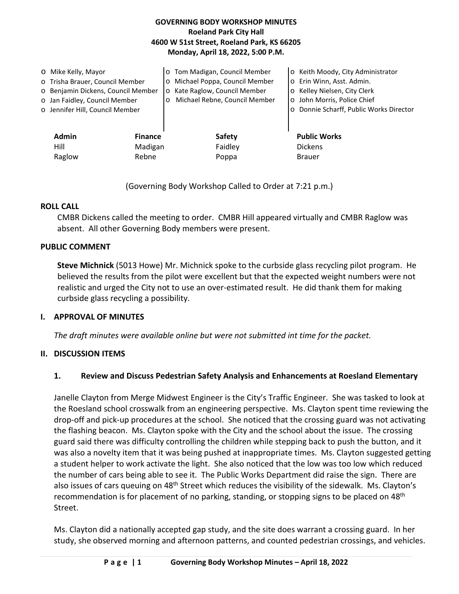## **GOVERNING BODY WORKSHOP MINUTES Roeland Park City Hall 4600 W 51st Street, Roeland Park, KS 66205 Monday, April 18, 2022, 5:00 P.M.**

| O Mike Kelly, Mayor | o Trisha Brauer, Council Member<br>o Benjamin Dickens, Council Member<br>o Jan Faidley, Council Member<br>o Jennifer Hill, Council Member | o Tom Madigan, Council Member<br>Michael Poppa, Council Member<br>$\circ$<br>Kate Raglow, Council Member<br>$\circ$<br>Michael Rebne, Council Member<br>O | Keith Moody, City Administrator<br>$\circ$<br>Erin Winn, Asst. Admin.<br>$\circ$<br>Kelley Nielsen, City Clerk<br>$\circ$<br>John Morris, Police Chief<br>$\circ$<br>Donnie Scharff, Public Works Director<br>$\circ$ |
|---------------------|-------------------------------------------------------------------------------------------------------------------------------------------|-----------------------------------------------------------------------------------------------------------------------------------------------------------|-----------------------------------------------------------------------------------------------------------------------------------------------------------------------------------------------------------------------|
| <b>Admin</b>        | <b>Finance</b>                                                                                                                            | <b>Safety</b>                                                                                                                                             | <b>Public Works</b>                                                                                                                                                                                                   |
| Hill                | Madigan                                                                                                                                   | Faidley                                                                                                                                                   | <b>Dickens</b>                                                                                                                                                                                                        |
| Raglow              | Rebne                                                                                                                                     | Poppa                                                                                                                                                     | <b>Brauer</b>                                                                                                                                                                                                         |

(Governing Body Workshop Called to Order at 7:21 p.m.)

## **ROLL CALL**

CMBR Dickens called the meeting to order. CMBR Hill appeared virtually and CMBR Raglow was absent. All other Governing Body members were present.

### **PUBLIC COMMENT**

**Steve Michnick** (5013 Howe) Mr. Michnick spoke to the curbside glass recycling pilot program. He believed the results from the pilot were excellent but that the expected weight numbers were not realistic and urged the City not to use an over-estimated result. He did thank them for making curbside glass recycling a possibility.

### **I. APPROVAL OF MINUTES**

*The draft minutes were available online but were not submitted int time for the packet.* 

### **II. DISCUSSION ITEMS**

## **1. Review and Discuss Pedestrian Safety Analysis and Enhancements at Roesland Elementary**

Janelle Clayton from Merge Midwest Engineer is the City's Traffic Engineer. She was tasked to look at the Roesland school crosswalk from an engineering perspective. Ms. Clayton spent time reviewing the drop-off and pick-up procedures at the school. She noticed that the crossing guard was not activating the flashing beacon. Ms. Clayton spoke with the City and the school about the issue. The crossing guard said there was difficulty controlling the children while stepping back to push the button, and it was also a novelty item that it was being pushed at inappropriate times. Ms. Clayton suggested getting a student helper to work activate the light. She also noticed that the low was too low which reduced the number of cars being able to see it. The Public Works Department did raise the sign. There are also issues of cars queuing on 48<sup>th</sup> Street which reduces the visibility of the sidewalk. Ms. Clayton's recommendation is for placement of no parking, standing, or stopping signs to be placed on 48<sup>th</sup> Street.

Ms. Clayton did a nationally accepted gap study, and the site does warrant a crossing guard. In her study, she observed morning and afternoon patterns, and counted pedestrian crossings, and vehicles.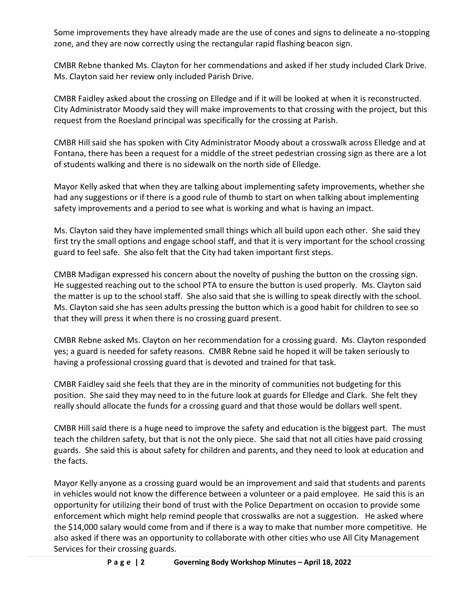Some improvements they have already made are the use of cones and signs to delineate a no-stopping zone, and they are now correctly using the rectangular rapid flashing beacon sign.

CMBR Rebne thanked Ms. Clayton for her commendations and asked if her study included Clark Drive. Ms. Clayton said her review only included Parish Drive.

CMBR Faidley asked about the crossing on Elledge and if it will be looked at when it is reconstructed. City Administrator Moody said they will make improvements to that crossing with the project, but this request from the Roesland principal was specifically for the crossing at Parish.

CMBR Hill said she has spoken with City Administrator Moody about a crosswalk across Elledge and at Fontana, there has been a request for a middle of the street pedestrian crossing sign as there are a lot of students walking and there is no sidewalk on the north side of Elledge.

Mayor Kelly asked that when they are talking about implementing safety improvements, whether she had any suggestions or if there is a good rule of thumb to start on when talking about implementing safety improvements and a period to see what is working and what is having an impact.

Ms. Clayton said they have implemented small things which all build upon each other. She said they first try the small options and engage school staff, and that it is very important for the school crossing guard to feel safe. She also felt that the City had taken important first steps.

CMBR Madigan expressed his concern about the novelty of pushing the button on the crossing sign. He suggested reaching out to the school PTA to ensure the button is used properly. Ms. Clayton said the matter is up to the school staff. She also said that she is willing to speak directly with the school. Ms. Clayton said she has seen adults pressing the button which is a good habit for children to see so that they will press it when there is no crossing guard present.

CMBR Rebne asked Ms. Clayton on her recommendation for a crossing guard. Ms. Clayton responded yes; a guard is needed for safety reasons. CMBR Rebne said he hoped it will be taken seriously to having a professional crossing guard that is devoted and trained for that task.

CMBR Faidley said she feels that they are in the minority of communities not budgeting for this position. She said they may need to in the future look at guards for Elledge and Clark. She felt they really should allocate the funds for a crossing guard and that those would be dollars well spent.

CMBR Hill said there is a huge need to improve the safety and education is the biggest part. The must teach the children safety, but that is not the only piece. She said that not all cities have paid crossing guards. She said this is about safety for children and parents, and they need to look at education and the facts.

Mayor Kelly anyone as a crossing guard would be an improvement and said that students and parents in vehicles would not know the difference between a volunteer or a paid employee. He said this is an opportunity for utilizing their bond of trust with the Police Department on occasion to provide some enforcement which might help remind people that crosswalks are not a suggestion. He asked where the \$14,000 salary would come from and if there is a way to make that number more competitive. He also asked if there was an opportunity to collaborate with other cities who use All City Management Services for their crossing guards.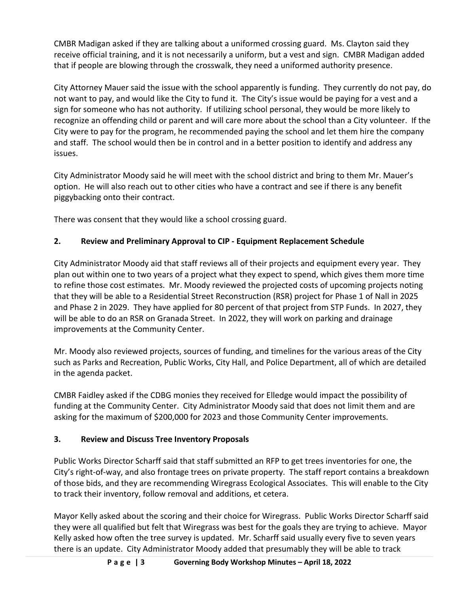CMBR Madigan asked if they are talking about a uniformed crossing guard. Ms. Clayton said they receive official training, and it is not necessarily a uniform, but a vest and sign. CMBR Madigan added that if people are blowing through the crosswalk, they need a uniformed authority presence.

City Attorney Mauer said the issue with the school apparently is funding. They currently do not pay, do not want to pay, and would like the City to fund it. The City's issue would be paying for a vest and a sign for someone who has not authority. If utilizing school personal, they would be more likely to recognize an offending child or parent and will care more about the school than a City volunteer. If the City were to pay for the program, he recommended paying the school and let them hire the company and staff. The school would then be in control and in a better position to identify and address any issues.

City Administrator Moody said he will meet with the school district and bring to them Mr. Mauer's option. He will also reach out to other cities who have a contract and see if there is any benefit piggybacking onto their contract.

There was consent that they would like a school crossing guard.

# **2. Review and Preliminary Approval to CIP - Equipment Replacement Schedule**

City Administrator Moody aid that staff reviews all of their projects and equipment every year. They plan out within one to two years of a project what they expect to spend, which gives them more time to refine those cost estimates. Mr. Moody reviewed the projected costs of upcoming projects noting that they will be able to a Residential Street Reconstruction (RSR) project for Phase 1 of Nall in 2025 and Phase 2 in 2029. They have applied for 80 percent of that project from STP Funds. In 2027, they will be able to do an RSR on Granada Street. In 2022, they will work on parking and drainage improvements at the Community Center.

Mr. Moody also reviewed projects, sources of funding, and timelines for the various areas of the City such as Parks and Recreation, Public Works, City Hall, and Police Department, all of which are detailed in the agenda packet.

CMBR Faidley asked if the CDBG monies they received for Elledge would impact the possibility of funding at the Community Center. City Administrator Moody said that does not limit them and are asking for the maximum of \$200,000 for 2023 and those Community Center improvements.

# **3. Review and Discuss Tree Inventory Proposals**

Public Works Director Scharff said that staff submitted an RFP to get trees inventories for one, the City's right-of-way, and also frontage trees on private property. The staff report contains a breakdown of those bids, and they are recommending Wiregrass Ecological Associates. This will enable to the City to track their inventory, follow removal and additions, et cetera.

Mayor Kelly asked about the scoring and their choice for Wiregrass. Public Works Director Scharff said they were all qualified but felt that Wiregrass was best for the goals they are trying to achieve. Mayor Kelly asked how often the tree survey is updated. Mr. Scharff said usually every five to seven years there is an update. City Administrator Moody added that presumably they will be able to track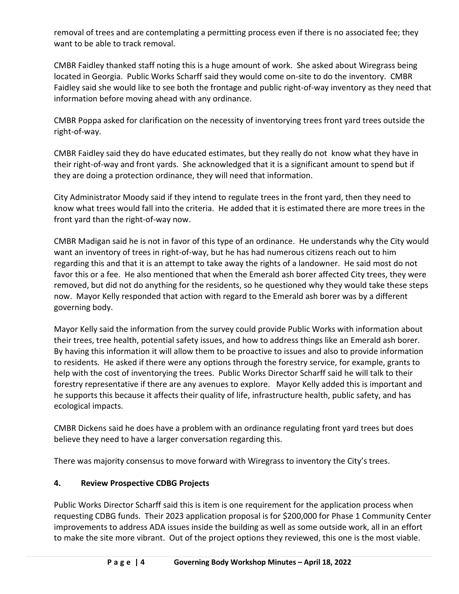removal of trees and are contemplating a permitting process even if there is no associated fee; they want to be able to track removal.

CMBR Faidley thanked staff noting this is a huge amount of work. She asked about Wiregrass being located in Georgia. Public Works Scharff said they would come on-site to do the inventory. CMBR Faidley said she would like to see both the frontage and public right-of-way inventory as they need that information before moving ahead with any ordinance.

CMBR Poppa asked for clarification on the necessity of inventorying trees front yard trees outside the right-of-way.

CMBR Faidley said they do have educated estimates, but they really do not know what they have in their right-of-way and front yards. She acknowledged that it is a significant amount to spend but if they are doing a protection ordinance, they will need that information.

City Administrator Moody said if they intend to regulate trees in the front yard, then they need to know what trees would fall into the criteria. He added that it is estimated there are more trees in the front yard than the right-of-way now.

CMBR Madigan said he is not in favor of this type of an ordinance. He understands why the City would want an inventory of trees in right-of-way, but he has had numerous citizens reach out to him regarding this and that it is an attempt to take away the rights of a landowner. He said most do not favor this or a fee. He also mentioned that when the Emerald ash borer affected City trees, they were removed, but did not do anything for the residents, so he questioned why they would take these steps now. Mayor Kelly responded that action with regard to the Emerald ash borer was by a different governing body.

Mayor Kelly said the information from the survey could provide Public Works with information about their trees, tree health, potential safety issues, and how to address things like an Emerald ash borer. By having this information it will allow them to be proactive to issues and also to provide information to residents. He asked if there were any options through the forestry service, for example, grants to help with the cost of inventorying the trees. Public Works Director Scharff said he will talk to their forestry representative if there are any avenues to explore. Mayor Kelly added this is important and he supports this because it affects their quality of life, infrastructure health, public safety, and has ecological impacts.

CMBR Dickens said he does have a problem with an ordinance regulating front yard trees but does believe they need to have a larger conversation regarding this.

There was majority consensus to move forward with Wiregrass to inventory the City's trees.

# **4. Review Prospective CDBG Projects**

Public Works Director Scharff said this is item is one requirement for the application process when requesting CDBG funds. Their 2023 application proposal is for \$200,000 for Phase 1 Community Center improvements to address ADA issues inside the building as well as some outside work, all in an effort to make the site more vibrant. Out of the project options they reviewed, this one is the most viable.